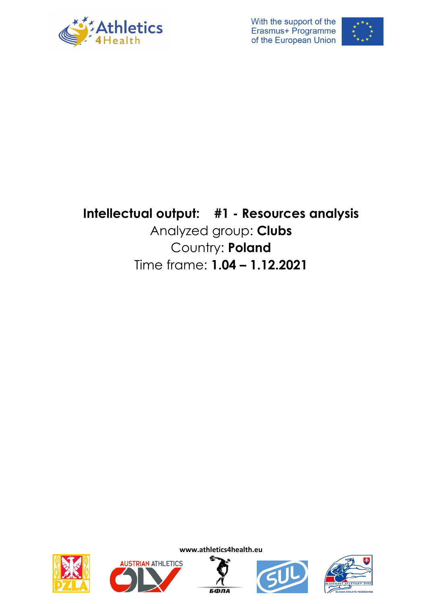



# **Intellectual output: #1 - Resources analysis** Analyzed group: **Clubs** Country: **Poland** Time frame: **1.04 – 1.12.2021**











**www.athletics4health.eu**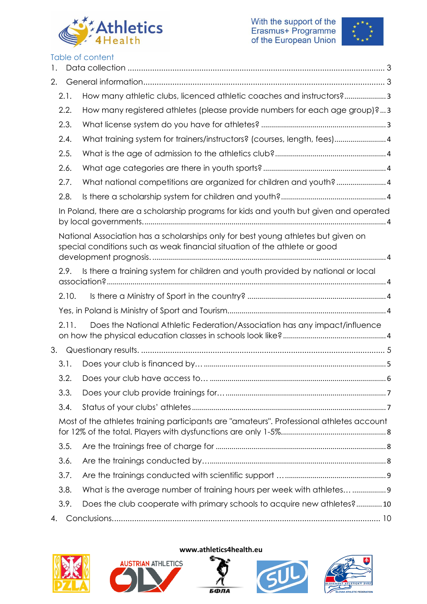



| 1. |       | Table of content                                                                                                                                                |
|----|-------|-----------------------------------------------------------------------------------------------------------------------------------------------------------------|
| 2. |       |                                                                                                                                                                 |
|    | 2.1.  | How many athletic clubs, licenced athletic coaches and instructors?3                                                                                            |
|    | 2.2.  | How many registered athletes (please provide numbers for each age group)?3                                                                                      |
|    | 2.3.  |                                                                                                                                                                 |
|    | 2.4.  |                                                                                                                                                                 |
|    |       | What training system for trainers/instructors? (courses, length, fees)4                                                                                         |
|    | 2.5.  |                                                                                                                                                                 |
|    | 2.6.  |                                                                                                                                                                 |
|    | 2.7.  | What national competitions are organized for children and youth? 4                                                                                              |
|    | 2.8.  |                                                                                                                                                                 |
|    |       | In Poland, there are a scholarship programs for kids and youth but given and operated                                                                           |
|    |       | National Association has a scholarships only for best young athletes but given on<br>special conditions such as weak financial situation of the athlete or good |
|    | 2.9.  | Is there a training system for children and youth provided by national or local                                                                                 |
|    | 2.10. |                                                                                                                                                                 |
|    |       |                                                                                                                                                                 |
|    | 2.11. | Does the National Athletic Federation/Association has any impact/influence                                                                                      |
| 3. |       |                                                                                                                                                                 |
|    | 3.1.  |                                                                                                                                                                 |
|    | 3.2.  |                                                                                                                                                                 |
|    | 3.3.  |                                                                                                                                                                 |
|    | 3.4.  |                                                                                                                                                                 |
|    |       | Most of the athletes training participants are "amateurs". Professional athletes account                                                                        |
|    | 3.5.  |                                                                                                                                                                 |
|    | 3.6.  |                                                                                                                                                                 |
|    | 3.7.  |                                                                                                                                                                 |
|    | 3.8.  | What is the average number of training hours per week with athletes  9                                                                                          |
|    | 3.9.  | Does the club cooperate with primary schools to acquire new athletes?10                                                                                         |
| 4. |       |                                                                                                                                                                 |



#### **www.athletics4health.eu**

**AUSTRIAN ATHLETICS** 





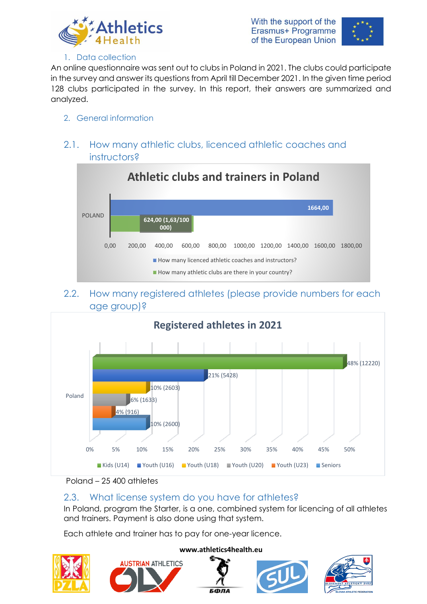



#### 1. Data collection

<span id="page-2-0"></span>An online questionnaire was sent out to clubs in Poland in 2021. The clubs could participate in the survey and answer its questions from April till December 2021. In the given time period 128 clubs participated in the survey. In this report, their answers are summarized and analyzed.

#### <span id="page-2-1"></span>2. General information

### <span id="page-2-2"></span>2.1. How many athletic clubs, licenced athletic coaches and instructors?



#### <span id="page-2-3"></span>2.2. How many registered athletes (please provide numbers for each age group)?





### <span id="page-2-4"></span>2.3. What license system do you have for athletes?

In Poland, program the Starter, is a one, combined system for licencing of all athletes and trainers. Payment is also done using that system.

Each athlete and trainer has to pay for one-year licence.





#### **www.athletics4health.eu**

**5000** 



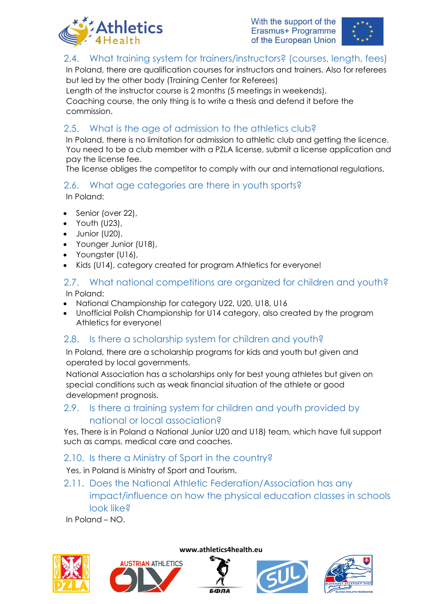



### <span id="page-3-0"></span>2.4. What training system for trainers/instructors? (courses, length, fees)

In Poland, there are qualification courses for instructors and trainers. Also for referees but led by the other body (Training Center for Referees)

Length of the instructor course is 2 months (5 meetings in weekends).

Coaching course, the only thing is to write a thesis and defend it before the commission.

### <span id="page-3-1"></span>2.5. What is the age of admission to the athletics club?

In Poland, there is no limitation for admission to athletic club and getting the licence. You need to be a club member with a PZLA license, submit a license application and pay the license fee.

The license obliges the competitor to comply with our and international regulations.

### <span id="page-3-2"></span>2.6. What age categories are there in youth sports?

In Poland:

- Senior (over 22),
- Youth (U23),
- Junior (U20),
- Younger Junior (U18),
- Youngster (U16),
- Kids (U14), category created for program Athletics for everyone!

#### <span id="page-3-3"></span>2.7. What national competitions are organized for children and youth? In Poland:

- National Championship for category U22, U20, U18, U16
- Unofficial Polish Championship for U14 category, also created by the program Athletics for everyone!

### <span id="page-3-4"></span>2.8. Is there a scholarship system for children and youth?

<span id="page-3-5"></span>In Poland, there are a scholarship programs for kids and youth but given and operated by local governments.

<span id="page-3-6"></span>National Association has a scholarships only for best young athletes but given on special conditions such as weak financial situation of the athlete or good development prognosis.

### <span id="page-3-7"></span>2.9. Is there a training system for children and youth provided by national or local association?

Yes, There is in Poland a National Junior U20 and U18) team, which have full support such as camps, medical care and coaches.

### <span id="page-3-8"></span>2.10. Is there a Ministry of Sport in the country?

<span id="page-3-9"></span>Yes, in Poland is Ministry of Sport and Tourism.

<span id="page-3-10"></span>2.11. Does the National Athletic Federation/Association has any impact/influence on how the physical education classes in schools look like?

In Poland – NO.









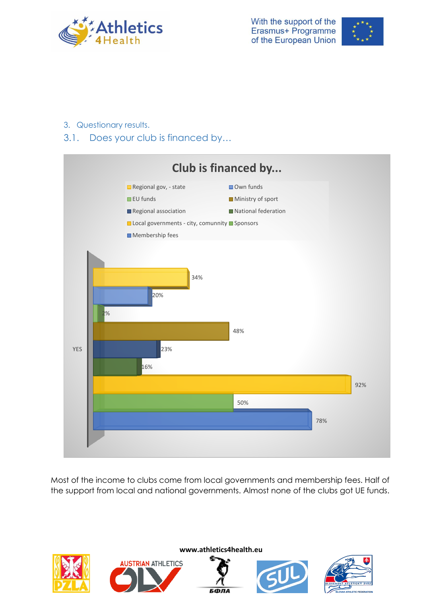



- <span id="page-4-0"></span>3. Questionary results.
- <span id="page-4-1"></span>3.1. Does your club is financed by…



Most of the income to clubs come from local governments and membership fees. Half of the support from local and national governments. Almost none of the clubs got UE funds.

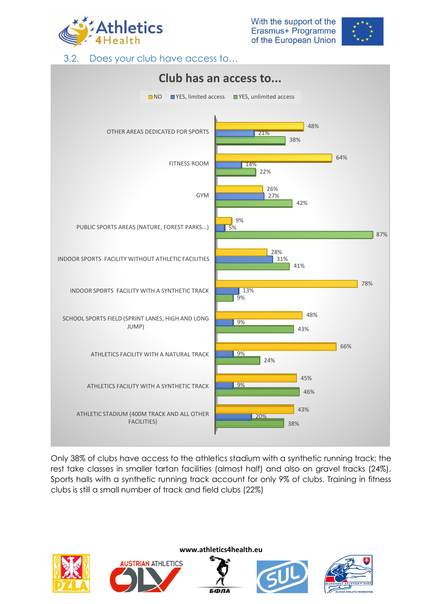



3.2. Does your club have access to…

<span id="page-5-0"></span>

Only 38% of clubs have access to the athletics stadium with a synthetic running track; the rest take classes in smaller tartan facilities (almost half) and also on gravel tracks (24%). Sports halls with a synthetic running track account for only 9% of clubs. Training in fitness clubs is still a small number of track and field clubs (22%)



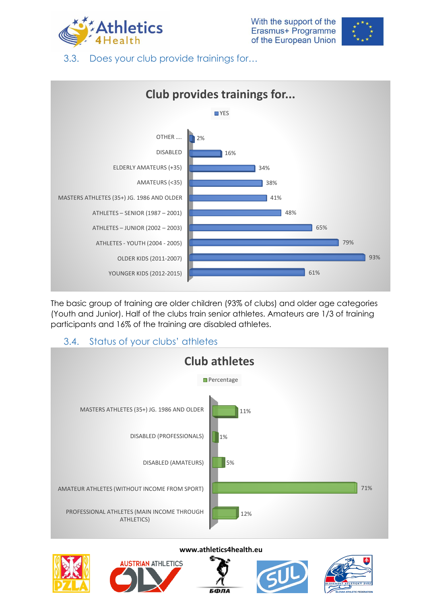



<span id="page-6-0"></span>3.3. Does your club provide trainings for…



The basic group of training are older children (93% of clubs) and older age categories (Youth and Junior). Half of the clubs train senior athletes. Amateurs are 1/3 of training participants and 16% of the training are disabled athletes.

### 3.4. Status of your clubs' athletes

<span id="page-6-1"></span>





**www.athletics4health.eu**

БФЛА



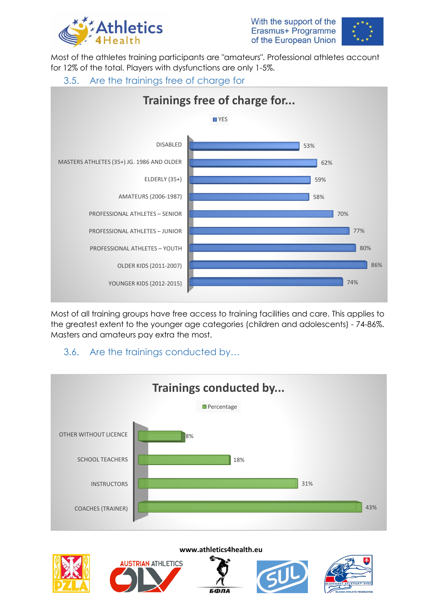



<span id="page-7-0"></span>Most of the athletes training participants are "amateurs". Professional athletes account for 12% of the total. Players with dysfunctions are only 1-5%.

<span id="page-7-1"></span>

Most of all training groups have free access to training facilities and care. This applies to the greatest extent to the younger age categories (children and adolescents) - 74-86%. Masters and amateurs pay extra the most.

### <span id="page-7-2"></span>3.6. Are the trainings conducted by…







#### **www.athletics4health.eu**

**5000** 



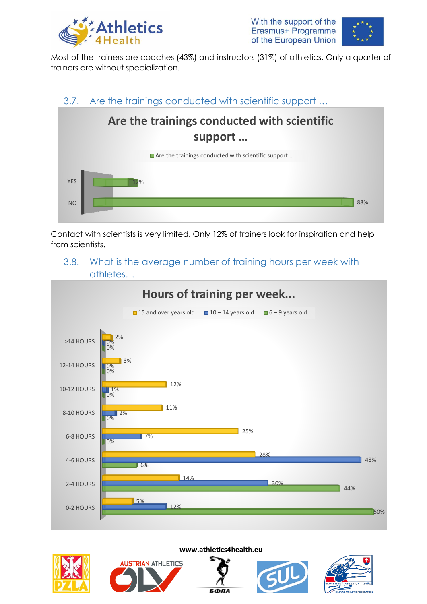



Most of the trainers are coaches (43%) and instructors (31%) of athletics. Only a quarter of trainers are without specialization.

#### 3.7. Are the trainings conducted with scientific support …

<span id="page-8-0"></span>

Contact with scientists is very limited. Only 12% of trainers look for inspiration and help from scientists.

#### <span id="page-8-1"></span>3.8. What is the average number of training hours per week with athletes…







**www.athletics4health.eu**

БФЛА



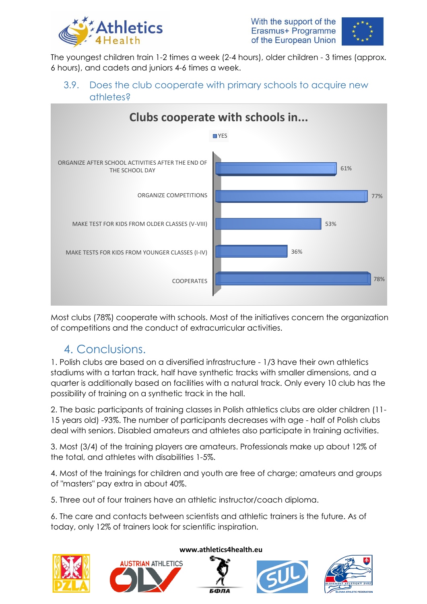



The youngest children train 1-2 times a week (2-4 hours), older children - 3 times (approx. 6 hours), and cadets and juniors 4-6 times a week.

### <span id="page-9-0"></span>3.9. Does the club cooperate with primary schools to acquire new athletes?



Most clubs (78%) cooperate with schools. Most of the initiatives concern the organization of competitions and the conduct of extracurricular activities.

## <span id="page-9-1"></span>4. Conclusions.

1. Polish clubs are based on a diversified infrastructure - 1/3 have their own athletics stadiums with a tartan track, half have synthetic tracks with smaller dimensions, and a quarter is additionally based on facilities with a natural track. Only every 10 club has the possibility of training on a synthetic track in the hall.

2. The basic participants of training classes in Polish athletics clubs are older children (11- 15 years old) -93%. The number of participants decreases with age - half of Polish clubs deal with seniors. Disabled amateurs and athletes also participate in training activities.

3. Most (3/4) of the training players are amateurs. Professionals make up about 12% of the total, and athletes with disabilities 1-5%.

4. Most of the trainings for children and youth are free of charge; amateurs and groups of "masters" pay extra in about 40%.

5. Three out of four trainers have an athletic instructor/coach diploma.

6. The care and contacts between scientists and athletic trainers is the future. As of today, only 12% of trainers look for scientific inspiration.





#### **www.athletics4health.eu**

**5000**